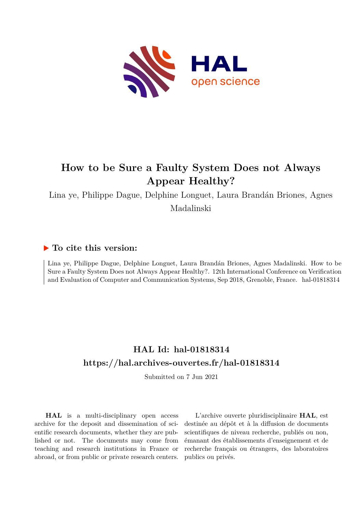

# **How to be Sure a Faulty System Does not Always Appear Healthy?**

Lina ye, Philippe Dague, Delphine Longuet, Laura Brandán Briones, Agnes

Madalinski

# **To cite this version:**

Lina ye, Philippe Dague, Delphine Longuet, Laura Brandán Briones, Agnes Madalinski. How to be Sure a Faulty System Does not Always Appear Healthy?. 12th International Conference on Verification and Evaluation of Computer and Communication Systems, Sep 2018, Grenoble, France. hal-01818314

# **HAL Id: hal-01818314 <https://hal.archives-ouvertes.fr/hal-01818314>**

Submitted on 7 Jun 2021

**HAL** is a multi-disciplinary open access archive for the deposit and dissemination of scientific research documents, whether they are published or not. The documents may come from teaching and research institutions in France or abroad, or from public or private research centers.

L'archive ouverte pluridisciplinaire **HAL**, est destinée au dépôt et à la diffusion de documents scientifiques de niveau recherche, publiés ou non, émanant des établissements d'enseignement et de recherche français ou étrangers, des laboratoires publics ou privés.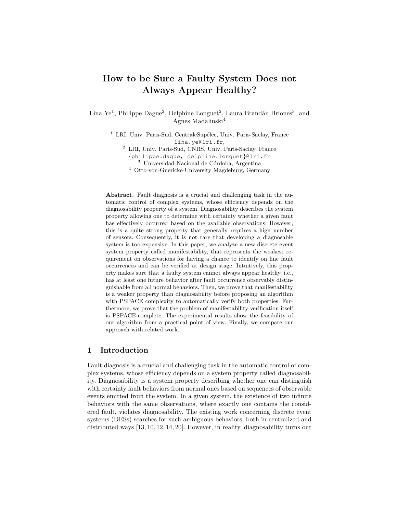# How to be Sure a Faulty System Does not Always Appear Healthy?

Lina Ye<sup>1</sup>, Philippe Dague<sup>2</sup>, Delphine Longuet<sup>2</sup>, Laura Brandán Briones<sup>3</sup>, and Agnes Madalinski $4$ 

<sup>1</sup> LRI, Univ. Paris-Sud, CentraleSupélec, Univ. Paris-Saclay, France lina.ye@lri.fr,

<sup>2</sup> LRI, Univ. Paris-Sud, CNRS, Univ. Paris-Saclay, France

{philippe.dague, delphine.longuet}@lri.fr

<sup>3</sup> Universidad Nacional de Córdoba, Argentina

<sup>4</sup> Otto-von-Guericke-University Magdeburg, Germany

Abstract. Fault diagnosis is a crucial and challenging task in the automatic control of complex systems, whose efficiency depends on the diagnosability property of a system. Diagnosability describes the system property allowing one to determine with certainty whether a given fault has effectively occurred based on the available observations. However, this is a quite strong property that generally requires a high number of sensors. Consequently, it is not rare that developing a diagnosable system is too expensive. In this paper, we analyze a new discrete event system property called manifestability, that represents the weakest requirement on observations for having a chance to identify on line fault occurrences and can be verified at design stage. Intuitively, this property makes sure that a faulty system cannot always appear healthy, i.e., has at least one future behavior after fault occurrence observably distinguishable from all normal behaviors. Then, we prove that manifestability is a weaker property than diagnosability before proposing an algorithm with PSPACE complexity to automatically verify both properties. Furthermore, we prove that the problem of manifestability verification itself is PSPACE-complete. The experimental results show the feasibility of our algorithm from a practical point of view. Finally, we compare our approach with related work.

#### 1 Introduction

Fault diagnosis is a crucial and challenging task in the automatic control of complex systems, whose efficiency depends on a system property called diagnosability. Diagnosability is a system property describing whether one can distinguish with certainty fault behaviors from normal ones based on sequences of observable events emitted from the system. In a given system, the existence of two infinite behaviors with the same observations, where exactly one contains the considered fault, violates diagnosability. The existing work concerning discrete event systems (DESs) searches for such ambiguous behaviors, both in centralized and distributed ways [13, 10, 12, 14, 20]. However, in reality, diagnosability turns out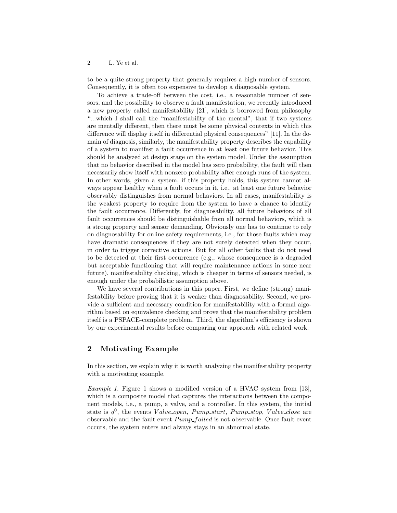to be a quite strong property that generally requires a high number of sensors. Consequently, it is often too expensive to develop a diagnosable system.

To achieve a trade-off between the cost, i.e., a reasonable number of sensors, and the possibility to observe a fault manifestation, we recently introduced a new property called manifestability [21], which is borrowed from philosophy "...which I shall call the "manifestability of the mental", that if two systems are mentally different, then there must be some physical contexts in which this difference will display itself in differential physical consequences" [11]. In the domain of diagnosis, similarly, the manifestability property describes the capability of a system to manifest a fault occurrence in at least one future behavior. This should be analyzed at design stage on the system model. Under the assumption that no behavior described in the model has zero probability, the fault will then necessarily show itself with nonzero probability after enough runs of the system. In other words, given a system, if this property holds, this system cannot always appear healthy when a fault occurs in it, i.e., at least one future behavior observably distinguishes from normal behaviors. In all cases, manifestability is the weakest property to require from the system to have a chance to identify the fault occurrence. Differently, for diagnosability, all future behaviors of all fault occurrences should be distinguishable from all normal behaviors, which is a strong property and sensor demanding. Obviously one has to continue to rely on diagnosability for online safety requirements, i.e., for those faults which may have dramatic consequences if they are not surely detected when they occur, in order to trigger corrective actions. But for all other faults that do not need to be detected at their first occurrence (e.g., whose consequence is a degraded but acceptable functioning that will require maintenance actions in some near future), manifestability checking, which is cheaper in terms of sensors needed, is enough under the probabilistic assumption above.

We have several contributions in this paper. First, we define (strong) manifestability before proving that it is weaker than diagnosability. Second, we provide a sufficient and necessary condition for manifestability with a formal algorithm based on equivalence checking and prove that the manifestability problem itself is a PSPACE-complete problem. Third, the algorithm's efficiency is shown by our experimental results before comparing our approach with related work.

# 2 Motivating Example

In this section, we explain why it is worth analyzing the manifestability property with a motivating example.

Example 1. Figure 1 shows a modified version of a HVAC system from [13], which is a composite model that captures the interactions between the component models, i.e., a pump, a valve, and a controller. In this system, the initial state is  $q^0$ , the events Valve<sub>-</sub>open, Pump<sub>-</sub>start, Pump<sub>-stop</sub>, Valve<sub>-close</sub> are observable and the fault event  $Pump\_failed$  is not observable. Once fault event occurs, the system enters and always stays in an abnormal state.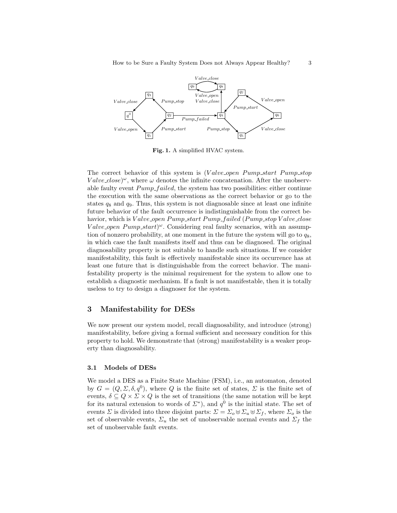

Fig. 1. A simplified HVAC system.

The correct behavior of this system is  $(Value\sub{open} Pump\sub{temp\_start} Pump\sub{top}$  $Value\_close)^\omega$ , where  $\omega$  denotes the infinite concatenation. After the unobservable faulty event  $Pump\_failed$ , the system has two possibilities: either continue the execution with the same observations as the correct behavior or go to the states  $q_8$  and  $q_9$ . Thus, this system is not diagnosable since at least one infinite future behavior of the fault occurrence is indistinguishable from the correct behavior, which is Valve\_open Pump\_start Pump\_failed (Pump\_stop Valve\_close  $Value\_{open} Pump\_{start}$ <sup>"</sup>. Considering real faulty scenarios, with an assumption of nonzero probability, at one moment in the future the system will go to  $q_8$ , in which case the fault manifests itself and thus can be diagnosed. The original diagnosability property is not suitable to handle such situations. If we consider manifestability, this fault is effectively manifestable since its occurrence has at least one future that is distinguishable from the correct behavior. The manifestability property is the minimal requirement for the system to allow one to establish a diagnostic mechanism. If a fault is not manifestable, then it is totally useless to try to design a diagnoser for the system.

#### 3 Manifestability for DESs

We now present our system model, recall diagnosability, and introduce (strong) manifestability, before giving a formal sufficient and necessary condition for this property to hold. We demonstrate that (strong) manifestability is a weaker property than diagnosability.

#### 3.1 Models of DESs

We model a DES as a Finite State Machine (FSM), i.e., an automaton, denoted by  $G = (Q, \Sigma, \delta, q^0)$ , where Q is the finite set of states,  $\Sigma$  is the finite set of events,  $\delta \subseteq Q \times \Sigma \times Q$  is the set of transitions (the same notation will be kept for its natural extension to words of  $\Sigma^*$ ), and  $q^0$  is the initial state. The set of events  $\Sigma$  is divided into three disjoint parts:  $\Sigma = \Sigma_o \oplus \Sigma_u \oplus \Sigma_f$ , where  $\Sigma_o$  is the set of observable events,  $\Sigma_u$  the set of unobservable normal events and  $\Sigma_f$  the set of unobservable fault events.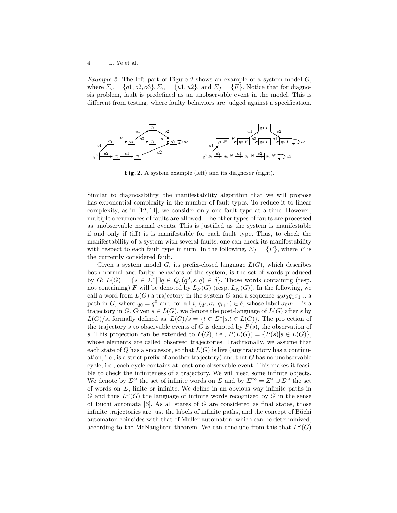*Example 2.* The left part of Figure 2 shows an example of a system model  $G$ , where  $\Sigma_o = \{o1, o2, o3\}, \Sigma_u = \{u1, u2\}, \text{ and } \Sigma_f = \{F\}.$  Notice that for diagnosis problem, fault is predefined as an unobservable event in the model. This is different from testing, where faulty behaviors are judged against a specification.



Fig. 2. A system example (left) and its diagnoser (right).

Similar to diagnosability, the manifestability algorithm that we will propose has exponential complexity in the number of fault types. To reduce it to linear complexity, as in [12, 14], we consider only one fault type at a time. However, multiple occurrences of faults are allowed. The other types of faults are processed as unobservable normal events. This is justified as the system is manifestable if and only if (iff) it is manifestable for each fault type. Thus, to check the manifestability of a system with several faults, one can check its manifestability with respect to each fault type in turn. In the following,  $\Sigma_f = \{F\}$ , where F is the currently considered fault.

Given a system model G, its prefix-closed language  $L(G)$ , which describes both normal and faulty behaviors of the system, is the set of words produced by  $G: L(G) = \{s \in \Sigma^* | \exists q \in Q, (q^0, s, q) \in \delta\}.$  Those words containing (resp. not containing) F will be denoted by  $L_F(G)$  (resp.  $L_N(G)$ ). In the following, we call a word from  $L(G)$  a trajectory in the system G and a sequence  $q_0 \sigma_0 q_1 \sigma_1 ...$  a path in G, where  $q_0 = q^0$  and, for all i,  $(q_i, \sigma_i, q_{i+1}) \in \delta$ , whose label  $\sigma_0 \sigma_1 ...$  is a trajectory in G. Given  $s \in L(G)$ , we denote the post-language of  $L(G)$  after s by  $L(G)/s$ , formally defined as:  $L(G)/s = \{t \in \Sigma^* | s.t \in L(G)\}$ . The projection of the trajectory s to observable events of G is denoted by  $P(s)$ , the observation of s. This projection can be extended to  $L(G)$ , i.e.,  $P(L(G)) = \{P(s)|s \in L(G)\},\$ whose elements are called observed trajectories. Traditionally, we assume that each state of Q has a successor, so that  $L(G)$  is live (any trajectory has a continuation, i.e., is a strict prefix of another trajectory) and that  $G$  has no unobservable cycle, i.e., each cycle contains at least one observable event. This makes it feasible to check the infiniteness of a trajectory. We will need some infinite objects. We denote by  $\Sigma^{\omega}$  the set of infinite words on  $\Sigma$  and by  $\Sigma^{\infty} = \Sigma^* \cup \Sigma^{\omega}$  the set of words on  $\Sigma$ , finite or infinite. We define in an obvious way infinite paths in G and thus  $L^{\omega}(G)$  the language of infinite words recognized by G in the sense of Büchi automata  $[6]$ . As all states of G are considered as final states, those infinite trajectories are just the labels of infinite paths, and the concept of Büchi automaton coincides with that of Muller automaton, which can be determinized, according to the McNaughton theorem. We can conclude from this that  $L^{\omega}(G)$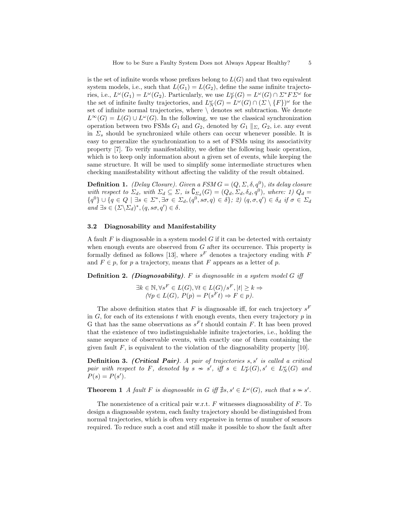is the set of infinite words whose prefixes belong to  $L(G)$  and that two equivalent system models, i.e., such that  $L(G_1) = L(G_2)$ , define the same infinite trajectories, i.e.,  $L^{\omega}(G_1) = L^{\omega}(G_2)$ . Particularly, we use  $L^{\omega}_F(G) = L^{\omega}(G) \cap \Sigma^* F \Sigma^{\omega}$  for the set of infinite faulty trajectories, and  $L_N^{\omega}(G) = L^{\omega}(G) \cap (\Sigma \setminus \{F\})^{\omega}$  for the set of infinite normal trajectories, where  $\setminus$  denotes set subtraction. We denote  $L^{\infty}(G) = L(G) \cup L^{\omega}(G)$ . In the following, we use the classical synchronization operation between two FSMs  $G_1$  and  $G_2$ , denoted by  $G_1 \parallel_{\Sigma_s} G_2$ , i.e. any event in  $\Sigma_s$  should be synchronized while others can occur whenever possible. It is easy to generalize the synchronization to a set of FSMs using its associativity property [7]. To verify manifestability, we define the following basic operation, which is to keep only information about a given set of events, while keeping the same structure. It will be used to simplify some intermediate structures when checking manifestability without affecting the validity of the result obtained.

**Definition 1.** (Delay Closure). Given a FSM  $G = (Q, \Sigma, \delta, q^0)$ , its delay closure with respect to  $\Sigma_d$ , with  $\Sigma_d \subseteq \Sigma$ , is  ${\complement}_{\Sigma_d}(G) = (Q_d, \Sigma_d, \delta_d, q^0)$ , where: 1)  $Q_d =$  ${q^0} \cup {q \in Q \mid \exists s \in \Sigma^*, \exists \sigma \in \Sigma_d, (q^0, s\sigma, q) \in \delta};\ z) (q, \sigma, q') \in \delta_d \text{ if } \sigma \in \Sigma_d$ and  $\exists s \in (\Sigma \backslash \Sigma_d)^*, (q, s\sigma, q') \in \delta$ .

#### 3.2 Diagnosability and Manifestability

A fault  $F$  is diagnosable in a system model  $G$  if it can be detected with certainty when enough events are observed from  $G$  after its occurrence. This property is formally defined as follows [13], where  $s<sup>F</sup>$  denotes a trajectory ending with F and  $F \in p$ , for p a trajectory, means that F appears as a letter of p.

**Definition 2.** (Diagnosability). F is diagnosable in a system model G iff

$$
\exists k \in \mathbb{N}, \forall s^F \in L(G), \forall t \in L(G)/s^F, |t| \ge k \Rightarrow
$$
  

$$
\langle \forall p \in L(G), P(p) = P(s^F t) \Rightarrow F \in p \rangle.
$$

The above definition states that F is diagnosable iff, for each trajectory  $s<sup>F</sup>$ in G, for each of its extensions t with enough events, then every trajectory  $p$  in G that has the same observations as  $s<sup>F</sup>t$  should contain F. It has been proved that the existence of two indistinguishable infinite trajectories, i.e., holding the same sequence of observable events, with exactly one of them containing the given fault  $F$ , is equivalent to the violation of the diagnosability property [10].

**Definition 3.** (Critical Pair). A pair of trajectories  $s, s'$  is called a critical pair with respect to F, denoted by  $s \sim s'$ , iff  $s \in L_F^{\omega}(G), s' \in L_N^{\omega}(G)$  and  $P(s) = P(s')$ .

**Theorem 1** A fault F is diagnosable in G iff  $\sharp s, s' \in L^{\omega}(G)$ , such that  $s \nsim s'$ .

The nonexistence of a critical pair w.r.t.  $F$  witnesses diagnosability of  $F$ . To design a diagnosable system, each faulty trajectory should be distinguished from normal trajectories, which is often very expensive in terms of number of sensors required. To reduce such a cost and still make it possible to show the fault after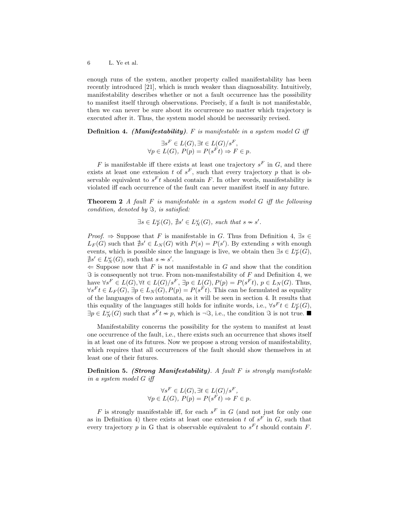enough runs of the system, another property called manifestability has been recently introduced [21], which is much weaker than diagnosability. Intuitively, manifestability describes whether or not a fault occurrence has the possibility to manifest itself through observations. Precisely, if a fault is not manifestable, then we can never be sure about its occurrence no matter which trajectory is executed after it. Thus, the system model should be necessarily revised.

**Definition 4.** (Manifestability). F is manifestable in a system model G iff

$$
\exists s^F \in L(G), \exists t \in L(G)/s^F,
$$
  

$$
\forall p \in L(G), P(p) = P(s^F t) \Rightarrow F \in p.
$$

F is manifestable iff there exists at least one trajectory  $s<sup>F</sup>$  in G, and there exists at least one extension t of  $s^F$ , such that every trajectory p that is observable equivalent to  $s^F t$  should contain F. In other words, manifestability is violated iff each occurrence of the fault can never manifest itself in any future.

**Theorem 2** A fault  $F$  is manifestable in a system model  $G$  iff the following condition, denoted by  $\Im$ , is satisfied:

 $\exists s \in L_F^{\omega}(G), \, \nexists s' \in L_N^{\omega}(G), \, \text{such that } s \nsim s'.$ 

*Proof.*  $\Rightarrow$  Suppose that F is manifestable in G. Thus from Definition 4,  $\exists s \in$  $L_F(G)$  such that  $\sharp s' \in L_N(G)$  with  $P(s) = P(s')$ . By extending s with enough events, which is possible since the language is live, we obtain then  $\exists s \in L_F^{\omega}(G)$ ,  $\sharp s' \in L_N^{\omega}(G)$ , such that  $s \nsim s'$ .

 $\Leftarrow$  Suppose now that F is not manifestable in G and show that the condition  $\Im$  is consequently not true. From non-manifestability of F and Definition 4, we have  $\forall s^F \in L(G), \forall t \in L(G)/s^F, \exists p \in L(G), P(p) = P(s^F t), p \in L_N(G)$ . Thus,  $\forall s^F t \in L_F(G), \exists p \in L_N(G), P(p) = P(s^F t).$  This can be formulated as equality of the languages of two automata, as it will be seen in section 4. It results that this equality of the languages still holds for infinite words, i.e.,  $\forall s^F t \in L^{\omega}_F(G)$ ,  $\exists p \in L_N^{\omega}(G)$  such that  $s^F t \nsim p$ , which is  $\neg \Im$ , i.e., the condition  $\Im$  is not true.

Manifestability concerns the possibility for the system to manifest at least one occurrence of the fault, i.e., there exists such an occurrence that shows itself in at least one of its futures. Now we propose a strong version of manifestability, which requires that all occurrences of the fault should show themselves in at least one of their futures.

**Definition 5.** (Strong Manifestability). A fault  $F$  is strongly manifestable in a system model G iff

$$
\forall s^F \in L(G), \exists t \in L(G)/s^F,
$$
  

$$
\forall p \in L(G), P(p) = P(s^F t) \Rightarrow F \in p.
$$

F is strongly manifestable iff, for each  $s<sup>F</sup>$  in G (and not just for only one as in Definition 4) there exists at least one extension t of  $s<sup>F</sup>$  in G, such that every trajectory p in G that is observable equivalent to  $s^F t$  should contain F.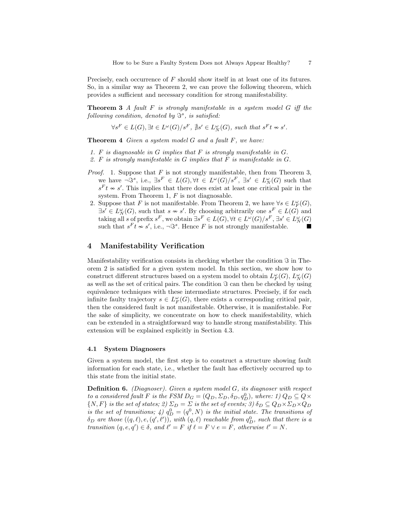Precisely, each occurrence of F should show itself in at least one of its futures. So, in a similar way as Theorem 2, we can prove the following theorem, which provides a sufficient and necessary condition for strong manifestability.

**Theorem 3** A fault  $F$  is strongly manifestable in a system model  $G$  iff the  $following condition, denoted by \mathcal{S}^s, is satisfied:$ 

$$
\forall s^F \in L(G), \exists t \in L^{\omega}(G)/s^F, \ \nexists s' \in L^{\omega}_N(G), \ such \ that \ s^Ft \nsim s'.
$$

**Theorem 4** Given a system model  $G$  and a fault  $F$ , we have:

- 1. F is diagnosable in G implies that F is strongly manifestable in G.
- 2. F is strongly manifestable in  $G$  implies that  $F$  is manifestable in  $G$ .
- *Proof.* 1. Suppose that F is not strongly manifestable, then from Theorem 3, we have  $\neg \Im^s$ , i.e.,  $\exists s^F \in L(G), \forall t \in L^{\omega}(G)/s^F$ ,  $\exists s' \in L^{\omega}_N(G)$  such that  $s<sup>F</sup>t \nsim s'$ . This implies that there does exist at least one critical pair in the system. From Theorem 1,  $F$  is not diagnosable.
- 2. Suppose that F is not manifestable. From Theorem 2, we have  $\forall s \in L^{\omega}_F(G)$ ,  $\exists s' \in L_N^{\omega}(G)$ , such that  $s \nsim s'$ . By choosing arbitrarily one  $s^F \in L(G)$  and taking all s of prefix  $s^F$ , we obtain  $\exists s^F \in L(G)$ ,  $\forall t \in L^{\omega}(G)/s^F$ ,  $\exists s' \in L^{\omega}_N(G)$ such that  $s^F t \nsim s'$ , i.e.,  $\neg \Im^s$ . Hence F is not strongly manifestable.

## 4 Manifestability Verification

Manifestability verification consists in checking whether the condition  $\Im$  in Theorem 2 is satisfied for a given system model. In this section, we show how to construct different structures based on a system model to obtain  $L^\omega_F(G),\, L^\omega_N(G)$ as well as the set of critical pairs. The condition  $\Im$  can then be checked by using equivalence techniques with these intermediate structures. Precisely, if for each infinite faulty trajectory  $s \in L_F^{\omega}(G)$ , there exists a corresponding critical pair, then the considered fault is not manifestable. Otherwise, it is manifestable. For the sake of simplicity, we concentrate on how to check manifestability, which can be extended in a straightforward way to handle strong manifestability. This extension will be explained explicitly in Section 4.3.

#### 4.1 System Diagnosers

Given a system model, the first step is to construct a structure showing fault information for each state, i.e., whether the fault has effectively occurred up to this state from the initial state.

**Definition 6.** (Diagnoser). Given a system model G, its diagnoser with respect to a considered fault F is the FSM  $D_G = (Q_D, \Sigma_D, \delta_D, q_D^0)$ , where: 1)  $Q_D \subseteq Q \times$  $\{N, F\}$  is the set of states; 2)  $\Sigma_D = \Sigma$  is the set of events; 3)  $\delta_D \subseteq Q_D \times \Sigma_D \times Q_D$ is the set of transitions;  $\langle \rangle$   $q_D^0 = (q^0, N)$  is the initial state. The transitions of  $\delta_D$  are those  $((q, \ell), e, (q', \ell')),$  with  $(q, \ell)$  reachable from  $q_D^0$ , such that there is a transition  $(q, e, q') \in \delta$ , and  $\ell' = F$  if  $\ell = F \vee e = F$ , otherwise  $\ell' = N$ .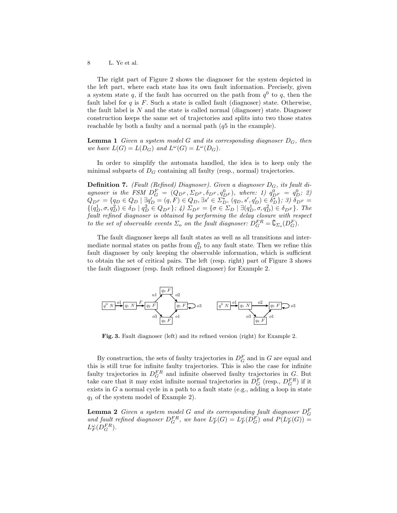The right part of Figure 2 shows the diagnoser for the system depicted in the left part, where each state has its own fault information. Precisely, given a system state  $q$ , if the fault has occurred on the path from  $q^0$  to  $q$ , then the fault label for  $q$  is  $F$ . Such a state is called fault (diagnoser) state. Otherwise, the fault label is  $N$  and the state is called normal (diagnoser) state. Diagnoser construction keeps the same set of trajectories and splits into two those states reachable by both a faulty and a normal path (q5 in the example).

**Lemma 1** Given a system model G and its corresponding diagnoser  $D_G$ , then we have  $L(G) = L(D_G)$  and  $L^{\omega}(G) = L^{\omega}(D_G)$ .

In order to simplify the automata handled, the idea is to keep only the minimal subparts of  $D<sub>G</sub>$  containing all faulty (resp., normal) trajectories.

**Definition 7.** (Fault (Refined) Diagnoser). Given a diagnoser  $D_G$ , its fault diagnoser is the FSM  $D_G^F = (Q_{D^F}, \Sigma_{D^F}, \delta_{D^F}, q_{D^F}^0)$ , where: 1)  $q_{D^F}^0 = q_D^0$ ; 2)  $Q_{D^F} = \{q_D \in Q_D \mid \exists q'_D = (q, F) \in Q_D, \exists s' \in \Sigma_D^*, (q_D, s', q'_D) \in \delta_D^* \};\, \beta) \,\delta_{D^F} =$  $\{(q_D^1, \sigma, q_D^2) \in \delta_D \mid q_D^2 \in Q_{D^F}\};\,4) \Sigma_{D^F} = \{\sigma \in \Sigma_D \mid \exists (q_D^1, \sigma, q_D^2) \in \delta_{D^F}\}.$  The fault refined diagnoser is obtained by performing the delay closure with respect to the set of observable events  $\Sigma_o$  on the fault diagnoser:  $D_G^{FR} = \mathcal{C}_{\Sigma_o}(D_G^F)$ .

The fault diagnoser keeps all fault states as well as all transitions and intermediate normal states on paths from  $q_D^0$  to any fault state. Then we refine this fault diagnoser by only keeping the observable information, which is sufficient to obtain the set of critical pairs. The left (resp. right) part of Figure 3 shows the fault diagnoser (resp. fault refined diagnoser) for Example 2.



Fig. 3. Fault diagnoser (left) and its refined version (right) for Example 2.

By construction, the sets of faulty trajectories in  $D_G^F$  and in G are equal and this is still true for infinite faulty trajectories. This is also the case for infinite faulty trajectories in  $D_G^{FR}$  and infinite observed faulty trajectories in  $G$ . But take care that it may exist infinite normal trajectories in  $D_G^F$  (resp.,  $D_G^{FR}$ ) if it exists in  $G$  a normal cycle in a path to a fault state (e.g., adding a loop in state  $q_1$  of the system model of Example 2).

**Lemma 2** Given a system model G and its corresponding fault diagnoser  $D_G^F$ and fault refined diagnoser  $D_G^{FR}$ , we have  $L_F^{\omega}(G) = L_F^{\omega}(D_G^{F})$  and  $P(L_F^{\omega}(G)) =$  $L_F^{\omega}(D_G^{FR})$ .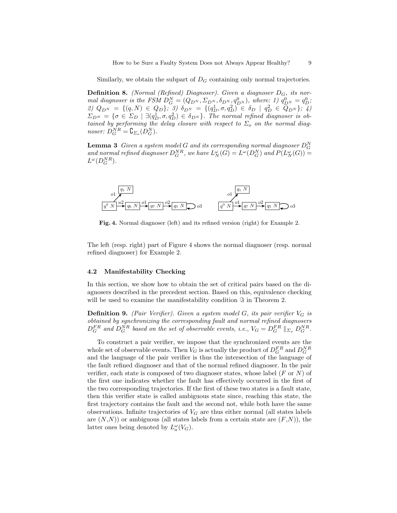Similarly, we obtain the subpart of  $D_G$  containing only normal trajectories.

**Definition 8.** (Normal (Refined) Diagnoser). Given a diagnoser  $D_G$ , its normal diagnoser is the FSM  $D_G^N = (Q_{D^N}, \Sigma_{D^N}, \delta_{D^N}, q_{D^N}^0)$ , where: 1)  $q_{D^N}^0 = q_D^0$ ; 2)  $Q_{D^N} = \{(q, N) \in Q_D\}; \, \tilde{3}) \, \delta_{D^N} = \{(q_D^1, \sigma, q_D^2) \in \delta_D \mid q_D^2 \in \tilde{Q}_{D^N}\}; \, \tilde{4})$  $\Sigma_{D^{N}} = \{\sigma \in \Sigma_D \mid \exists (q_D^1, \sigma, q_D^2) \in \delta_{D^{N}}\}.$  The normal refined diagnoser is obtained by performing the delay closure with respect to  $\Sigma_o$  on the normal diagnoser:  $D_G^{NR} = \mathbb{C}_{\Sigma_o}(D_G^N)$ .

 ${\bf Lemma}$  3  $\it Given$  a system model  $G$  and its corresponding normal diagnoser  $D_G^N$ and normal refined diagnoser  $D_G^{NR}$ , we have  $L_N^{\omega}(G) = L^{\omega}(D_G^N)$  and  $P(L_N^{\omega}(G)) =$  $L^{\omega}(D_G^{NR}).$ 



Fig. 4. Normal diagnoser (left) and its refined version (right) for Example 2.

The left (resp. right) part of Figure 4 shows the normal diagnoser (resp. normal refined diagnoser) for Example 2.

#### 4.2 Manifestability Checking

In this section, we show how to obtain the set of critical pairs based on the diagnosers described in the precedent section. Based on this, equivalence checking will be used to examine the manifestability condition  $\Im$  in Theorem 2.

**Definition 9.** (Pair Verifier). Given a system model G, its pair verifier  $V_G$  is obtained by synchronizing the corresponding fault and normal refined diagnosers  $D_G^{FR}$  and  $D_G^{NR}$  based on the set of observable events, i.e.,  $V_G = D_G^{FR} \parallel_{\Sigma_o} D_G^{NR}$ .

To construct a pair verifier, we impose that the synchronized events are the whole set of observable events. Then  $V_G$  is actually the product of  $D_G^{FR}$  and  $D_G^{NR}$ and the language of the pair verifier is thus the intersection of the language of the fault refined diagnoser and that of the normal refined diagnoser. In the pair verifier, each state is composed of two diagnoser states, whose label  $(F \text{ or } N)$  of the first one indicates whether the fault has effectively occurred in the first of the two corresponding trajectories. If the first of these two states is a fault state, then this verifier state is called ambiguous state since, reaching this state, the first trajectory contains the fault and the second not, while both have the same observations. Infinite trajectories of  $V_G$  are thus either normal (all states labels are  $(N, N)$  or ambiguous (all states labels from a certain state are  $(F, N)$ ), the latter ones being denoted by  $L_a^{\omega}(V_G)$ .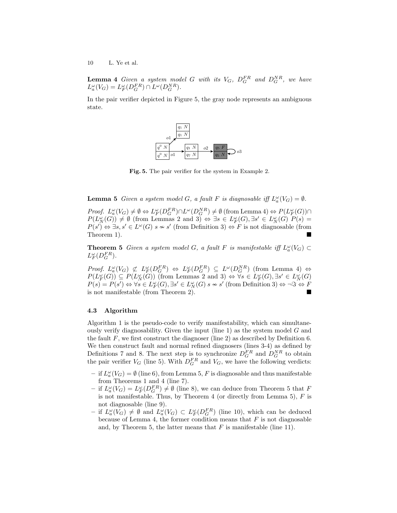**Lemma 4** Given a system model G with its  $V_G$ ,  $D_G^{FR}$  and  $D_G^{NR}$ , we have  $L_a^{\omega}(V_G) = L_F^{\omega}(D_G^{FR}) \cap L^{\omega}(D_G^{NR}).$ 

In the pair verifier depicted in Figure 5, the gray node represents an ambiguous state.



Fig. 5. The pair verifier for the system in Example 2.

**Lemma 5** Given a system model G, a fault F is diagnosable iff  $L_a^{\omega}(V_G) = \emptyset$ .

Proof.  $L_a^{\omega}(V_G) \neq \emptyset \Leftrightarrow L_F^{\omega}(D_G^{FR}) \cap L^{\omega}(D_G^{NR}) \neq \emptyset$  (from Lemma 4)  $\Leftrightarrow P(L_F^{\omega}(G)) \cap$  $P(L_N^{\omega}(G)) \neq \emptyset$  (from Lemmas 2 and 3)  $\Leftrightarrow \exists s \in L_F^{\omega}(G), \exists s' \in L_N^{\omega}(G)$   $P(s) =$  $P(s') \Leftrightarrow \exists s, s' \in L^{\omega}(G) \ s \nsim s' \text{ (from Definition 3)} \Leftrightarrow F \text{ is not diagonal to the form }$ Theorem 1).

**Theorem 5** Given a system model G, a fault F is manifestable iff  $L_a^{\omega}(V_G) \subset$  $L_F^{\omega}(D_G^{FR})$ .

Proof.  $L^{\omega}_{a}(V_G) \not\subset L^{\omega}_{F}(D^{FR}_{G}) \Leftrightarrow L^{\omega}_{F}(D^{FR}_{G}) \subseteq L^{\omega}(D^{NR}_{G})$  (from Lemma 4)  $\Leftrightarrow$  $P(L_F^{\omega}(G)) \subseteq P(L_N^{\omega}(G))$  (from Lemmas 2 and 3)  $\Leftrightarrow \forall s \in L_F^{\omega}(G), \exists s' \in L_N^{\omega}(G)$  $P(s) = P(s') \Leftrightarrow \forall s \in L_F^{\omega}(G), \exists s' \in L_N^{\omega}(G) \ s \nsim s' \text{ (from Definition 3)} \Leftrightarrow \neg \Im \Leftrightarrow F$ is not manifestable (from Theorem 2).

#### 4.3 Algorithm

Algorithm 1 is the pseudo-code to verify manifestability, which can simultaneously verify diagnosability. Given the input (line  $1$ ) as the system model  $G$  and the fault  $F$ , we first construct the diagnoser (line 2) as described by Definition 6. We then construct fault and normal refined diagnosers (lines 3-4) as defined by Definitions 7 and 8. The next step is to synchronize  $D_G^{FR}$  and  $D_G^{NR}$  to obtain the pair verifier  $V_G$  (line 5). With  $D_G^{FR}$  and  $V_G$ , we have the following verdicts:

- if  $L_a^{\omega}(V_G) = \emptyset$  (line 6), from Lemma 5, F is diagnosable and thus manifestable from Theorems 1 and 4 (line 7).
- if  $L_a^{\omega}(V_G) = L_F^{\omega}(D_G^{FR}) \neq \emptyset$  (line 8), we can deduce from Theorem 5 that F is not manifestable. Thus, by Theorem  $4$  (or directly from Lemma 5),  $F$  is not diagnosable (line 9).
- if  $L_a^{\omega}(V_G) \neq \emptyset$  and  $L_a^{\omega}(V_G) \subset L_F^{\omega}(D_G^{FR})$  (line 10), which can be deduced because of Lemma 4, the former condition means that  $F$  is not diagnosable and, by Theorem 5, the latter means that  $F$  is manifestable (line 11).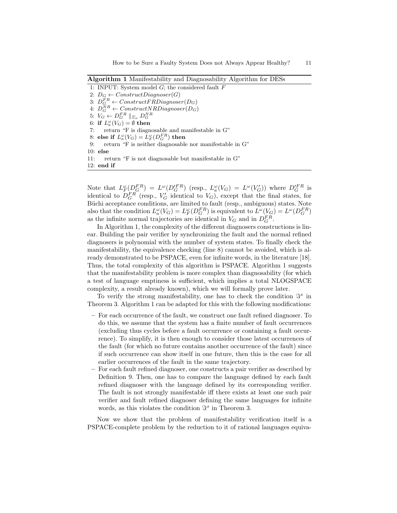Algorithm 1 Manifestability and Diagnosability Algorithm for DESs

1: INPUT: System model G; the considered fault F 2:  $D_G \leftarrow ConstructDiagnoser(G)$ 3:  $D_G^{FR} \leftarrow ConstructFRDiagnoser(D_G)$ 4:  $D_G^{NR} \leftarrow ConstructNRDiagnoser(D_G)$ 5:  $V_G \leftarrow D_G^{FR} ||_{\Sigma_o} D_G^{NR}$ 6: if  $L_a^{\omega}(V_G) = \emptyset$  then 7: return "F is diagnosable and manifestable in G" 8: else if  $L_a^{\omega}(V_G) = L_F^{\omega}(D_G^{FR})$  then 9: return "F is neither diagnosable nor manifestable in G" 10: else 11: return "F is not diagnosable but manifestable in G" 12: end if

Note that  $L_F^{\omega}(D_G^{FR}) = L^{\omega}(D_G^{FR})$  (resp.,  $L_a^{\omega}(V_G) = L^{\omega}(V_G')$ ) where  $D_G^{FR}$  is identical to  $D_G^{FR}$  (resp.,  $V_G'$  identical to  $V_G$ ), except that the final states, for Büchi acceptance conditions, are limited to fault (resp., ambiguous) states. Note also that the condition  $L_a^{\omega}(V_G) = L_F^{\omega}(D_G^{FR})$  is equivalent to  $L^{\omega}(V_G) = L^{\omega}(D_G^{FR})$ as the infinite normal trajectories are identical in  $V_G$  and in  $D_G^{FR}$ .

In Algorithm 1, the complexity of the different diagnosers constructions is linear. Building the pair verifier by synchronizing the fault and the normal refined diagnosers is polynomial with the number of system states. To finally check the manifestability, the equivalence checking (line 8) cannot be avoided, which is already demonstrated to be PSPACE, even for infinite words, in the literature [18]. Thus, the total complexity of this algorithm is PSPACE. Algorithm 1 suggests that the manifestability problem is more complex than diagnosability (for which a test of language emptiness is sufficient, which implies a total NLOGSPACE complexity, a result already known), which we will formally prove later.

To verify the strong manifestability, one has to check the condition  $\mathcal{S}^s$  in Theorem 3. Algorithm 1 can be adapted for this with the following modifications:

- For each occurrence of the fault, we construct one fault refined diagnoser. To do this, we assume that the system has a finite number of fault occurrences (excluding thus cycles before a fault occurrence or containing a fault occurrence). To simplify, it is then enough to consider those latest occurrences of the fault (for which no future contains another occurrence of the fault) since if such occurrence can show itself in one future, then this is the case for all earlier occurrences of the fault in the same trajectory.
- For each fault refined diagnoser, one constructs a pair verifier as described by Definition 9. Then, one has to compare the language defined by each fault refined diagnoser with the language defined by its corresponding verifier. The fault is not strongly manifestable iff there exists at least one such pair verifier and fault refined diagnoser defining the same languages for infinite words, as this violates the condition  $\Im^s$  in Theorem 3.

Now we show that the problem of manifestability verification itself is a PSPACE-complete problem by the reduction to it of rational languages equiva-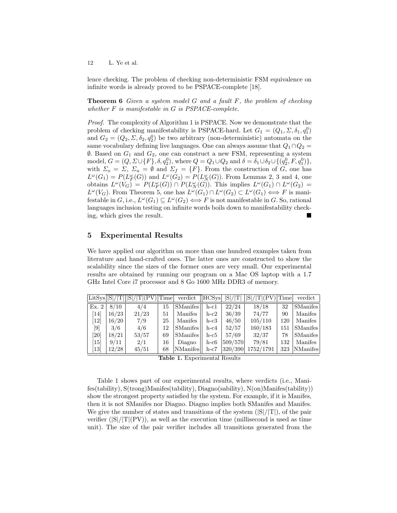lence checking. The problem of checking non-deterministic FSM equivalence on infinite words is already proved to be PSPACE-complete [18].

**Theorem 6** Given a system model G and a fault  $F$ , the problem of checking whether F is manifestable in G is PSPACE-complete.

Proof. The complexity of Algorithm 1 is PSPACE. Now we demonstrate that the problem of checking manifestability is PSPACE-hard. Let  $G_1 = (Q_1, \Sigma, \delta_1, q_1^0)$ and  $G_2 = (Q_2, \Sigma, \delta_2, q_2^0)$  be two arbitrary (non-deterministic) automata on the same vocabulary defining live languages. One can always assume that  $Q_1 \cap Q_2 =$  $\emptyset$ . Based on  $G_1$  and  $G_2$ , one can construct a new FSM, representing a system model,  $G = (Q, \Sigma \cup \{F\}, \delta, q_2^0)$ , where  $Q = Q_1 \cup Q_2$  and  $\delta = \delta_1 \cup \delta_2 \cup \{(q_2^0, F, q_1^0)\},$ with  $\Sigma_o = \Sigma$ ,  $\Sigma_u = \emptyset$  and  $\Sigma_f = \{F\}$ . From the construction of G, one has  $L^{\omega}(G_1) = P(L_F^{\omega}(G))$  and  $L^{\omega}(G_2) = P(L_N^{\omega}(G))$ . From Lemmas 2, 3 and 4, one obtains  $L^{\omega}(V_G) = P(L_F^{\omega}(G)) \cap P(L_N^{\omega}(G))$ . This implies  $L^{\omega}(G_1) \cap L^{\omega}(G_2) =$  $L^{\omega}(V_G)$ . From Theorem 5, one has  $L^{\omega}(G_1) \cap L^{\omega}(G_2) \subset L^{\omega}(G_1) \Longleftrightarrow F$  is manifestable in  $G$ , i.e.,  $L^{\omega}(G_1) \subseteq L^{\omega}(G_2) \Longleftrightarrow F$  is not manifestable in  $G$ . So, rational languages inclusion testing on infinite words boils down to manifestability checking, which gives the result.

## 5 Experimental Results

We have applied our algorithm on more than one hundred examples taken from literature and hand-crafted ones. The latter ones are constructed to show the scalability since the sizes of the former ones are very small. Our experimental results are obtained by running our program on a Mac OS laptop with a 1.7 GHz Intel Core i7 processor and 8 Go 1600 MHz DDR3 of memory.

|                              |       | LitSys $ S / T  S / T (PV)$ Time |    | verdict         | $ \overline{\text{HCS}}\text{ys} $ | S / T   | $ S / T (\overline{PV}) Time $ |     | verdict         |
|------------------------------|-------|----------------------------------|----|-----------------|------------------------------------|---------|--------------------------------|-----|-----------------|
| Ex. 2                        | 8/10  | 4/4                              | 15 | SManifes        | $h-c1$                             | 22/24   | 18/18                          | 32  | <b>SManifes</b> |
| [14]                         | 16/23 | 21/23                            | 51 | Manifes         | $h-c2$                             | 36/39   | 74/77                          | 90  | Manifes         |
| $\left\lceil 12\right\rceil$ | 16/20 | 7/9                              | 25 | Manifes         | $h-c3$                             | 46/50   | 105/110                        | 120 | Manifes         |
| [9]                          | 3/6   | 4/6                              | 12 | <b>SManifes</b> | $h-c4$                             | 52/57   | 160/183                        | 151 | <b>SManifes</b> |
| $\left[ 20\right]$           | 18/21 | 53/57                            | 69 | SManifes        | $h-c5$                             | 57/69   | 32/37                          | 78  | <b>SManifes</b> |
| $\left[15\right]$            | 9/11  | 2/1                              | 16 | Diagno          | $h-c6$                             | 509/570 | 79/81                          | 132 | Manifes         |
| $\left\lceil 13\right\rceil$ | 12/28 | 45/51                            | 68 | <b>NManifes</b> | $_{\rm h-c7}$                      | 320/390 | 1752/1791                      | 323 | <b>NManifes</b> |

Table 1. Experimental Results

Table 1 shows part of our experimental results, where verdicts (i.e., Manifes(tability), S(trong)Manifes(tability), Diagno(sability), N(on)Manifes(tability)) show the strongest property satisfied by the system. For example, if it is Manifes, then it is not SManifes nor Diagno. Diagno implies both SManifes and Manifes. We give the number of states and transitions of the system  $(|S|/|T|)$ , of the pair verifier  $(|S|/|T|(PV)$ , as well as the execution time (millisecond is used as time unit). The size of the pair verifier includes all transitions generated from the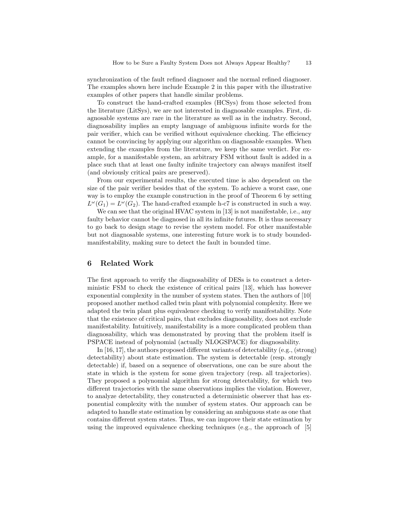synchronization of the fault refined diagnoser and the normal refined diagnoser. The examples shown here include Example 2 in this paper with the illustrative examples of other papers that handle similar problems.

To construct the hand-crafted examples (HCSys) from those selected from the literature (LitSys), we are not interested in diagnosable examples. First, diagnosable systems are rare in the literature as well as in the industry. Second, diagnosability implies an empty language of ambiguous infinite words for the pair verifier, which can be verified without equivalence checking. The efficiency cannot be convincing by applying our algorithm on diagnosable examples. When extending the examples from the literature, we keep the same verdict. For example, for a manifestable system, an arbitrary FSM without fault is added in a place such that at least one faulty infinite trajectory can always manifest itself (and obviously critical pairs are preserved).

From our experimental results, the executed time is also dependent on the size of the pair verifier besides that of the system. To achieve a worst case, one way is to employ the example construction in the proof of Theorem 6 by setting  $L^{\omega}(G_1) = L^{\omega}(G_2)$ . The hand-crafted example h-c7 is constructed in such a way.

We can see that the original HVAC system in [13] is not manifestable, i.e., any faulty behavior cannot be diagnosed in all its infinite futures. It is thus necessary to go back to design stage to revise the system model. For other manifestable but not diagnosable systems, one interesting future work is to study boundedmanifestability, making sure to detect the fault in bounded time.

## 6 Related Work

The first approach to verify the diagnosability of DESs is to construct a deterministic FSM to check the existence of critical pairs [13], which has however exponential complexity in the number of system states. Then the authors of [10] proposed another method called twin plant with polynomial complexity. Here we adapted the twin plant plus equivalence checking to verify manifestability. Note that the existence of critical pairs, that excludes diagnosability, does not exclude manifestability. Intuitively, manifestability is a more complicated problem than diagnosability, which was demonstrated by proving that the problem itself is PSPACE instead of polynomial (actually NLOGSPACE) for diagnosability.

In [16, 17], the authors proposed different variants of detectability (e.g., (strong) detectability) about state estimation. The system is detectable (resp. strongly detectable) if, based on a sequence of observations, one can be sure about the state in which is the system for some given trajectory (resp. all trajectories). They proposed a polynomial algorithm for strong detectability, for which two different trajectories with the same observations implies the violation. However, to analyze detectability, they constructed a deterministic observer that has exponential complexity with the number of system states. Our approach can be adapted to handle state estimation by considering an ambiguous state as one that contains different system states. Thus, we can improve their state estimation by using the improved equivalence checking techniques (e.g., the approach of [5]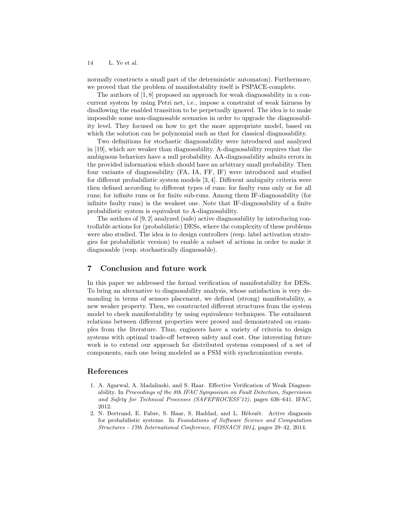normally constructs a small part of the deterministic automaton). Furthermore, we proved that the problem of manifestability itself is PSPACE-complete.

The authors of  $[1, 8]$  proposed an approach for weak diagnosability in a concurrent system by using Petri net, i.e., impose a constraint of weak fairness by disallowing the enabled transition to be perpetually ignored. The idea is to make impossible some non-diagnosable scenarios in order to upgrade the diagnosability level. They focused on how to get the more appropriate model, based on which the solution can be polynomial such as that for classical diagnosability.

Two definitions for stochastic diagnosability were introduced and analyzed in [19], which are weaker than diagnosability. A-diagnosability requires that the ambiguous behaviors have a null probability. AA-diagnosability admits errors in the provided information which should have an arbitrary small probability. Then four variants of diagnosability (FA, IA, FF, IF) were introduced and studied for different probabilistic system models [3, 4]. Different ambiguity criteria were then defined according to different types of runs: for faulty runs only or for all runs; for infinite runs or for finite sub-runs. Among them IF-diagnosability (for infinite faulty runs) is the weakest one. Note that IF-diagnosability of a finite probabilistic system is equivalent to A-diagnosability.

The authors of [9, 2] analyzed (safe) active diagnosability by introducing controllable actions for (probabilistic) DESs, where the complexity of these problems were also studied. The idea is to design controllers (resp. label activation strategies for probabilistic version) to enable a subset of actions in order to make it diagnosable (resp. stochastically diagnosable).

## 7 Conclusion and future work

In this paper we addressed the formal verification of manifestability for DESs. To bring an alternative to diagnosability analysis, whose satisfaction is very demanding in terms of sensors placement, we defined (strong) manifestability, a new weaker property. Then, we constructed different structures from the system model to check manifestability by using equivalence techniques. The entailment relations between different properties were proved and demonstrated on examples from the literature. Thus, engineers have a variety of criteria to design systems with optimal trade-off between safety and cost. One interesting future work is to extend our approach for distributed systems composed of a set of components, each one being modeled as a FSM with synchronization events.

#### References

- 1. A. Agarwal, A. Madalinski, and S. Haar. Effective Verification of Weak Diagnosability. In Proceedings of the 8th IFAC Symposium on Fault Detection, Supervision and Safety for Technical Processes (SAFEPROCESS'12), pages 636–641. IFAC, 2012.
- 2. N. Bertrand, E. Fabre, S. Haar, S. Haddad, and L. Hélouët. Active diagnosis for probabilistic systems. In Foundations of Software Science and Computation Structures - 17th International Conference, FOSSACS 2014, pages 29–42, 2014.